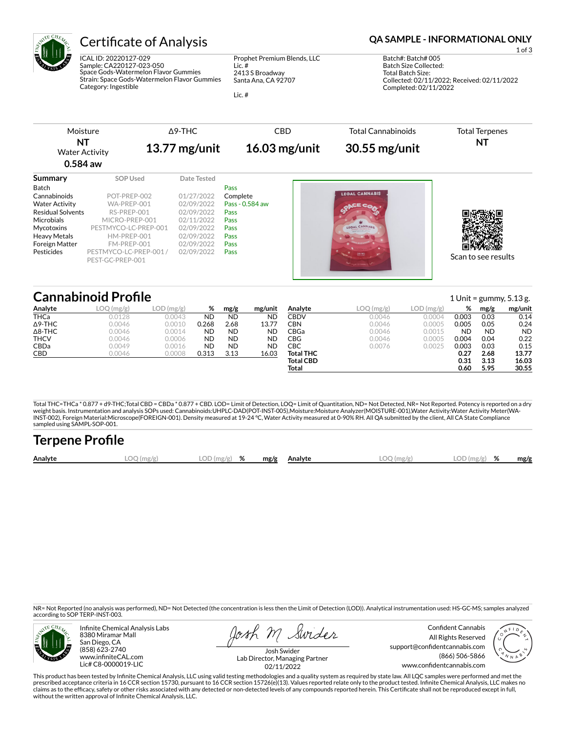

ICAL ID: 20220127-029 Sample: CA220127-023-050 Space Gods-Watermelon Flavor Gummies Strain: Space Gods-Watermelon Flavor Gummies Category: Ingestible

Prophet Premium Blends, LLC Lic. # 2413 S Broadway Santa Ana, CA 92707

Lic. #

## Certificate of Analysis **Certificate of Analysis QA SAMPLE - INFORMATIONAL ONLY**

1 of 3 Batch#: Batch# 005 Batch Size Collected: Total Batch Size: Collected: 02/11/2022; Received: 02/11/2022 Completed: 02/11/2022

| Moisture                    |                                            | $\triangle$ 9-THC | <b>CBD</b>      | <b>Total Cannabinoids</b> | <b>Total Terpenes</b> |
|-----------------------------|--------------------------------------------|-------------------|-----------------|---------------------------|-----------------------|
| NT<br><b>Water Activity</b> |                                            | $13.77$ mg/unit   | $16.03$ mg/unit | 30.55 mg/unit             | NT                    |
| $0.584$ aw                  |                                            |                   |                 |                           |                       |
| Summary                     | SOP Used                                   | Date Tested       |                 |                           |                       |
| Batch                       |                                            |                   | Pass            |                           |                       |
| Cannabinoids                | POT-PREP-002                               | 01/27/2022        | Complete        | <b>LEGAL CANNABIS</b>     |                       |
| <b>Water Activity</b>       | WA-PREP-001                                | 02/09/2022        | Pass - 0.584 aw |                           |                       |
| <b>Residual Solvents</b>    | RS-PREP-001                                | 02/09/2022        | Pass            |                           |                       |
| Microbials                  | MICRO-PREP-001                             | 02/11/2022        | Pass            |                           |                       |
| Mycotoxins                  | PESTMYCO-LC-PREP-001                       | 02/09/2022        | Pass            | LEGAL CANNABIS            |                       |
| <b>Heavy Metals</b>         | HM-PREP-001                                | 02/09/2022        | Pass            |                           |                       |
| <b>Foreign Matter</b>       | FM-PREP-001                                | 02/09/2022        | Pass            |                           |                       |
| Pesticides                  | PESTMYCO-LC-PREP-001 /<br>PEST-GC-PREP-001 | 02/09/2022        | Pass            | A+ 50 Grams 11 76C        | Scan to see results   |

## **Cannabinoid Profile** 1 Unit = gummy, 5.13 g.

|                | ——————————————————— |        |           |           |           |                  |              |           |           |           | $\pm$ 0.1.1. $\pm$ 0.1.1.1.1, 0.1.10 $\pm$ |
|----------------|---------------------|--------|-----------|-----------|-----------|------------------|--------------|-----------|-----------|-----------|--------------------------------------------|
| Analyte        | LOQ (mg/g)          | (mg/g) | %         | mg/g      | mg/unit   | Analyte          | $LOQ$ (mg/g) | LOD(mg/g) | %         | mg/g      | mg/unit                                    |
| THCa           | 0.0128              | 0.0043 | ND        | <b>ND</b> | <b>ND</b> | CBDV             | 0.0046       | 0.0004    | 0.003     | 0.03      | 0.14                                       |
| $\Delta$ 9-THC | 0.0046              | 0.0010 | 0.268     | 2.68      | 13.77     | CBN              | 0.0046       | 0.0005    | 0.005     | 0.05      | 0.24                                       |
| $\Delta$ 8-THC | 0.0046              | 0.0014 | <b>ND</b> | ND        | <b>ND</b> | CBGa             | 0.0046       | 0.0015    | <b>ND</b> | <b>ND</b> | <b>ND</b>                                  |
| <b>THCV</b>    | 0.0046              | 0.0006 | ND        | ND        | <b>ND</b> | CBG              | 0.0046       | 0.0005    | 0.004     | 0.04      | 0.22                                       |
| CBDa           | 0.0049              | 0.0016 | ND        | ND        | <b>ND</b> | СВС              | 0.0076       | 0.0025    | 0.003     | 0.03      | 0.15                                       |
| CBD            | 0.0046              | 0.0008 | 0.313     | 3.13      | 16.03     | <b>Total THC</b> |              |           | 0.27      | 2.68      | 13.77                                      |
|                |                     |        |           |           |           | <b>Total CBD</b> |              |           | 0.31      | 3.13      | 16.03                                      |
|                |                     |        |           |           |           | Total            |              |           | 0.60      | 5.95      | 30.55                                      |

Total THC=THCa \* 0.877 + d9-THC;Total CBD = CBDa \* 0.877 + CBD. LOD= Limit of Detection, LOQ= Limit of Quantitation, ND= Not Detected, NR= Not Reported. Potency is reported on a dry<br>weight basis. Instrumentation and analys INST-002), Foreign Material:Microscope(FOREIGN-001). Density measured at 19-24 °C, Water Activity measured at 0-90% RH. All QA submitted by the client, All CA State Compliance sampled using SAMPL-SOP-001.

| <b>Terpene Profile</b> |           |               |  |              |              |               |      |
|------------------------|-----------|---------------|--|--------------|--------------|---------------|------|
| Analyte                | LOO(mg/g) | $LOD(mg/g)$ % |  | mg/g Analyte | $LOO$ (mg/g) | $LOD(mg/g)$ % | mg/g |

NR= Not Reported (no analysis was performed), ND= Not Detected (the concentration is less then the Limit of Detection (LOD)). Analytical instrumentation used: HS-GC-MS; samples analyzed according to SOP TERP-INST-003.



Infinite Chemical Analysis Labs 8380 Miramar Mall San Diego, CA (858) 623-2740 www.infiniteCAL.com Lic# C8-0000019-LIC

osh M Swider

Confident Cannabis All Rights Reserved support@confidentcannabis.com (866) 506-5866 www.confidentcannabis.com



Josh Swider Lab Director, Managing Partner 02/11/2022

This product has been tested by Infinite Chemical Analysis, LLC using valid testing methodologies and a quality system as required by state law. All LQC samples were performed and met the prescribed acceptance criteria in 16 CCR section 15730, pursuant to 16 CCR section 15726(e)(13). Values reported relate only to the product tested. Infinite Chemical Analysis, LLC makes no<br>claims as to the efficacy, safety without the written approval of Infinite Chemical Analysis, LLC.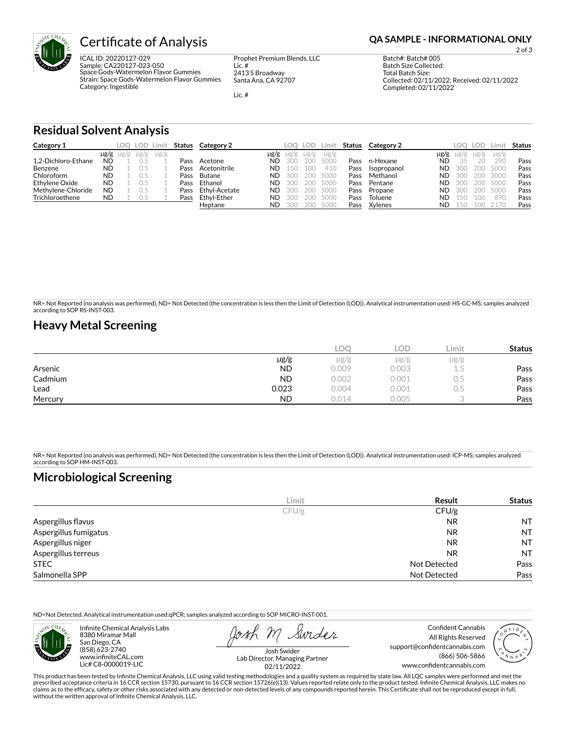

ICAL ID: 20220127-029 Sample: CA220127-023-050 Space Gods-Watermelon Flavor Gummies Strain: Space Gods-Watermelon Flavor Gummies Category: Ingestible

Prophet Premium Blends, LLC Lic. # 2413 S Broadway Santa Ana, CA 92707

Lic. #

2 of 3

Batch#: Batch# 005 Batch Size Collected: Total Batch Size: Collected: 02/11/2022; Received: 02/11/2022 Completed: 02/11/2022

**Residual Solvent Analysis**

| Category 1          |           | LOO .               |           | LOD Limit |      | <b>Status</b> Category 2 |           | LOO       | LOD. | ∟imit     | Status | Category 2  |           | LOO.  | LOD       | ∟imit     | <b>Status</b> |
|---------------------|-----------|---------------------|-----------|-----------|------|--------------------------|-----------|-----------|------|-----------|--------|-------------|-----------|-------|-----------|-----------|---------------|
|                     |           | $\mu$ g/g $\mu$ g/g | $\mu$ g/g | $\mu$ g/g |      |                          | $\mu$ g/g | $\mu$ g/g | µg/g | $\mu$ g/g |        |             | µg/g      |       | $\mu$ g/g | $\mu$ g/g |               |
| 1.2-Dichloro-Ethane | <b>ND</b> |                     |           |           | Pass | Acetone                  | <b>ND</b> | 300       | 200- | 5000      | Pass   | n-Hexane    | <b>ND</b> | 35    | 20        | 290       | Pass          |
| Benzene             | ND        |                     |           |           | Pass | Acetonitrile             | <b>ND</b> | 150       |      | 410       | Pass   | Isopropanol | ND.       | -300  | 200       | 5000      | Pass          |
| Chloroform          | <b>ND</b> |                     |           |           | Pass | Butane                   | <b>ND</b> | 300       |      | 200 5000  | Pass   | Methanol    | ND.       | -300  | 200       | 3000      | Pass          |
| Ethylene Oxide      | <b>ND</b> |                     |           |           | Pass | Ethanol                  | <b>ND</b> | 300       |      | 200 5000  | Pass   | Pentane     | ND.       | -300  | 200       | 5000      | Pass          |
| Methylene-Chloride  | <b>ND</b> |                     |           |           | Pass | Ethvl-Acetate            | <b>ND</b> | 300       |      | 200 5000  | Pass   | Propane     | ND.       | -300  | 200       | 5000      | Pass          |
| Trichloroethene     | <b>ND</b> |                     |           |           | Pass | Ethvl-Ether              | <b>ND</b> | 300       |      | 200 5000  | Pass   | Toluene     | ND.       | - 150 | 100       | 890       | Pass          |
|                     |           |                     |           |           |      | Heptane                  | <b>ND</b> | .300      |      | 200 5000  | Pass   | Xylenes     | ND.       | 50    | 100       | 2170      | Pass          |

NR= Not Reported (no analysis was performed), ND= Not Detected (the concentration is less then the Limit of Detection (LOD)). Analytical instrumentation used: HS-GC-MS; samples analyzed according to SOP RS-INST-003.

### **Heavy Metal Screening**

|         |           | COC   | LOD   | ∟imit         | <b>Status</b> |
|---------|-----------|-------|-------|---------------|---------------|
|         | $\mu$ g/g | µg/g  | µg/g  | $\mu$ g/g     |               |
| Arsenic | <b>ND</b> | 0.009 | 0.003 | ر ب           | Pass          |
| Cadmium | <b>ND</b> | 0.002 | 0.001 | $\sim$<br>U.5 | Pass          |
| Lead    | 0.023     | 0.004 | 0.001 | U.5           | Pass          |
| Mercury | <b>ND</b> | 0.014 | 0.005 |               | Pass          |

NR= Not Reported (no analysis was performed), ND= Not Detected (the concentration is less then the Limit of Detection (LOD)). Analytical instrumentation used: ICP-MS; samples analyzed according to SOP HM-INST-003.

## **Microbiological Screening**

|                       | Limit | Result              | <b>Status</b> |
|-----------------------|-------|---------------------|---------------|
|                       | CFU/g | CFU/g               |               |
| Aspergillus flavus    |       | <b>NR</b>           | <b>NT</b>     |
| Aspergillus fumigatus |       | <b>NR</b>           | <b>NT</b>     |
| Aspergillus niger     |       | <b>NR</b>           | <b>NT</b>     |
| Aspergillus terreus   |       | <b>NR</b>           | <b>NT</b>     |
| <b>STEC</b>           |       | Not Detected        | Pass          |
| Salmonella SPP        |       | <b>Not Detected</b> | Pass          |

ND=Not Detected. Analytical instrumentation used:qPCR; samples analyzed according to SOP MICRO-INST-001.



Infinite Chemical Analysis Labs 8380 Miramar Mall San Diego, CA (858) 623-2740 www.infiniteCAL.com Lic# C8-0000019-LIC

Swider

All Rights Reserved support@confidentcannabis.com (866) 506-5866 www.confidentcannabis.com

Confident Cannabis

Josh Swider Lab Director, Managing Partner 02/11/2022

This product has been tested by Infinite Chemical Analysis, LLC using valid testing methodologies and a quality system as required by state law. All LQC samples were performed and met the prescribed acceptance criteria in 16 CCR section 15730, pursuant to 16 CCR section 15726(e)(13). Values reported relate only to the product tested. Infinite Chemical Analysis, LLC makes no<br>claims as to the efficacy, safety without the written approval of Infinite Chemical Analysis, LLC.